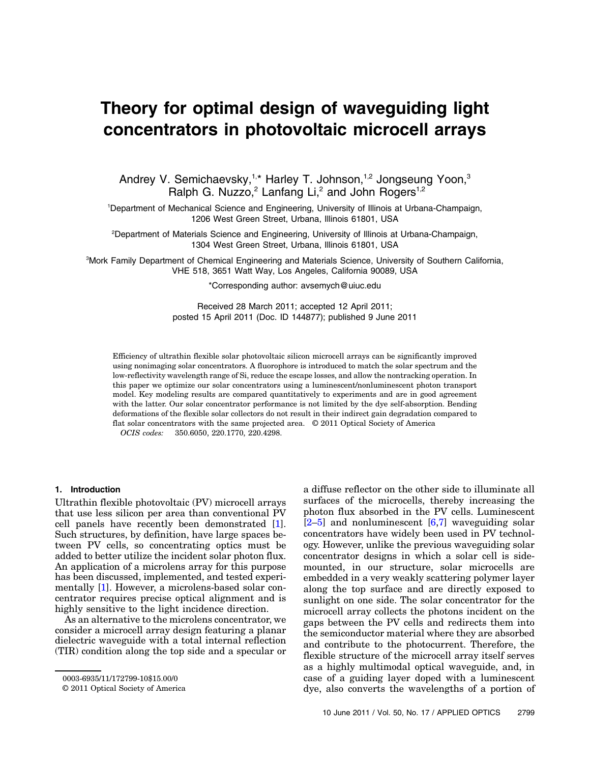# Theory for optimal design of waveguiding light concentrators in photovoltaic microcell arrays

Andrey V. Semichaevsky,<sup>1,\*</sup> Harley T. Johnson,<sup>1,2</sup> Jongseung Yoon,<sup>3</sup> Ralph G. Nuzzo,<sup>2</sup> Lanfang Li,<sup>2</sup> and John Rogers<sup>1,2</sup>

1 Department of Mechanical Science and Engineering, University of Illinois at Urbana-Champaign, 1206 West Green Street, Urbana, Illinois 61801, USA

2 Department of Materials Science and Engineering, University of Illinois at Urbana-Champaign, 1304 West Green Street, Urbana, Illinois 61801, USA

3 Mork Family Department of Chemical Engineering and Materials Science, University of Southern California, VHE 518, 3651 Watt Way, Los Angeles, California 90089, USA

\*Corresponding author: avsemych@uiuc.edu

Received 28 March 2011; accepted 12 April 2011; posted 15 April 2011 (Doc. ID 144877); published 9 June 2011

Efficiency of ultrathin flexible solar photovoltaic silicon microcell arrays can be significantly improved using nonimaging solar concentrators. A fluorophore is introduced to match the solar spectrum and the low-reflectivity wavelength range of Si, reduce the escape losses, and allow the nontracking operation. In this paper we optimize our solar concentrators using a luminescent/nonluminescent photon transport model. Key modeling results are compared quantitatively to experiments and are in good agreement with the latter. Our solar concentrator performance is not limited by the dye self-absorption. Bending deformations of the flexible solar collectors do not result in their indirect gain degradation compared to flat solar concentrators with the same projected area. © 2011 Optical Society of America

OCIS codes: 350.6050, 220.1770, 220.4298.

#### 1. Introduction

Ultrathin flexible photovoltaic (PV) microcell arrays that use less silicon per area than conventional PV cell panels have recently been demonstrated [1]. Such structures, by definition, have large spaces between PV cells, so concentrating optics must be added to better utilize the incident solar photon flux. An application of a microlens array for this purpose has been discussed, implemented, and tested experimentally [1]. However, a microlens-based solar concentrator requires precise optical alignment and is highly sensitive to the light incidence direction.

As an alternative to the microlens concentrator, we consider a microcell array design featuring a planar dielectric waveguide with a total internal reflection (TIR) condition along the top side and a specular or a diffuse reflector on the other side to illuminate all surfaces of the microcells, thereby increasing the photon flux absorbed in the PV cells. Luminescent  $[2-5]$  and nonluminescent  $[6,7]$  waveguiding solar concentrators have widely been used in PV technology. However, unlike the previous waveguiding solar concentrator designs in which a solar cell is sidemounted, in our structure, solar microcells are embedded in a very weakly scattering polymer layer along the top surface and are directly exposed to sunlight on one side. The solar concentrator for the microcell array collects the photons incident on the gaps between the PV cells and redirects them into the semiconductor material where they are absorbed and contribute to the photocurrent. Therefore, the flexible structure of the microcell array itself serves as a highly multimodal optical waveguide, and, in case of a guiding layer doped with a luminescent dye, also converts the wavelengths of a portion of

<sup>0003-6935/11/172799-10\$15.00/0</sup>

<sup>© 2011</sup> Optical Society of America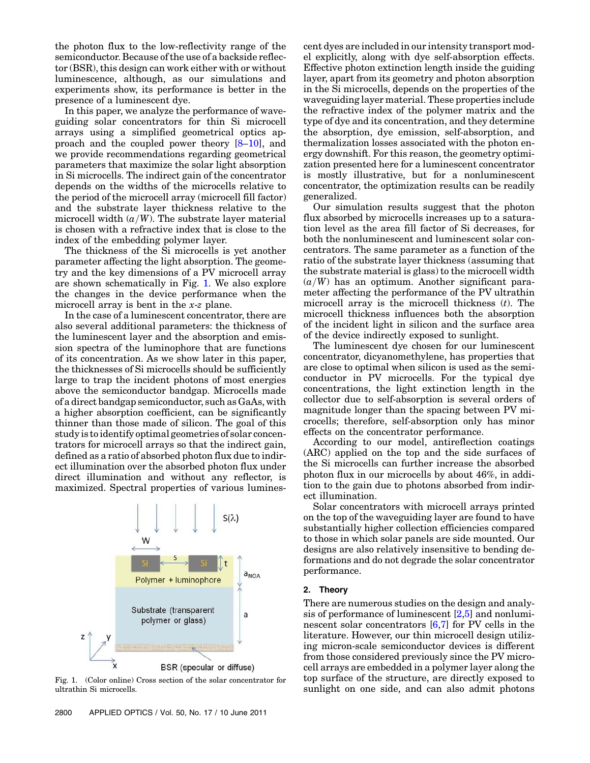the photon flux to the low-reflectivity range of the semiconductor. Because of the use of a backside reflector (BSR), this design can work either with or without luminescence, although, as our simulations and experiments show, its performance is better in the presence of a luminescent dye.

In this paper, we analyze the performance of waveguiding solar concentrators for thin Si microcell arrays using a simplified geometrical optics approach and the coupled power theory [8–10], and we provide recommendations regarding geometrical parameters that maximize the solar light absorption in Si microcells. The indirect gain of the concentrator depends on the widths of the microcells relative to the period of the microcell array (microcell fill factor) and the substrate layer thickness relative to the microcell width  $(a/W)$ . The substrate layer material is chosen with a refractive index that is close to the index of the embedding polymer layer.

The thickness of the Si microcells is yet another parameter affecting the light absorption. The geometry and the key dimensions of a PV microcell array are shown schematically in Fig. 1. We also explore the changes in the device performance when the microcell array is bent in the x-z plane.

In the case of a luminescent concentrator, there are also several additional parameters: the thickness of the luminescent layer and the absorption and emission spectra of the luminophore that are functions of its concentration. As we show later in this paper, the thicknesses of Si microcells should be sufficiently large to trap the incident photons of most energies above the semiconductor bandgap. Microcells made of a direct bandgap semiconductor, such as GaAs, with a higher absorption coefficient, can be significantly thinner than those made of silicon. The goal of this study is to identify optimal geometries of solar concentrators for microcell arrays so that the indirect gain, defined as a ratio of absorbed photon flux due to indirect illumination over the absorbed photon flux under direct illumination and without any reflector, is maximized. Spectral properties of various lumines-



Fig. 1. (Color online) Cross section of the solar concentrator for ultrathin Si microcells.

cent dyes are included in our intensity transport model explicitly, along with dye self-absorption effects. Effective photon extinction length inside the guiding layer, apart from its geometry and photon absorption in the Si microcells, depends on the properties of the waveguiding layer material. These properties include the refractive index of the polymer matrix and the type of dye and its concentration, and they determine the absorption, dye emission, self-absorption, and thermalization losses associated with the photon energy downshift. For this reason, the geometry optimization presented here for a luminescent concentrator is mostly illustrative, but for a nonluminescent concentrator, the optimization results can be readily generalized.

Our simulation results suggest that the photon flux absorbed by microcells increases up to a saturation level as the area fill factor of Si decreases, for both the nonluminescent and luminescent solar concentrators. The same parameter as a function of the ratio of the substrate layer thickness (assuming that the substrate material is glass) to the microcell width  $(a/W)$  has an optimum. Another significant parameter affecting the performance of the PV ultrathin microcell array is the microcell thickness  $(t)$ . The microcell thickness influences both the absorption of the incident light in silicon and the surface area of the device indirectly exposed to sunlight.

The luminescent dye chosen for our luminescent concentrator, dicyanomethylene, has properties that are close to optimal when silicon is used as the semiconductor in PV microcells. For the typical dye concentrations, the light extinction length in the collector due to self-absorption is several orders of magnitude longer than the spacing between PV microcells; therefore, self-absorption only has minor effects on the concentrator performance.

According to our model, antireflection coatings (ARC) applied on the top and the side surfaces of the Si microcells can further increase the absorbed photon flux in our microcells by about 46%, in addition to the gain due to photons absorbed from indirect illumination.

Solar concentrators with microcell arrays printed on the top of the waveguiding layer are found to have substantially higher collection efficiencies compared to those in which solar panels are side mounted. Our designs are also relatively insensitive to bending deformations and do not degrade the solar concentrator performance.

### 2. Theory

There are numerous studies on the design and analysis of performance of luminescent [2,5] and nonluminescent solar concentrators [6,7] for PV cells in the literature. However, our thin microcell design utilizing micron-scale semiconductor devices is different from those considered previously since the PV microcell arrays are embedded in a polymer layer along the top surface of the structure, are directly exposed to sunlight on one side, and can also admit photons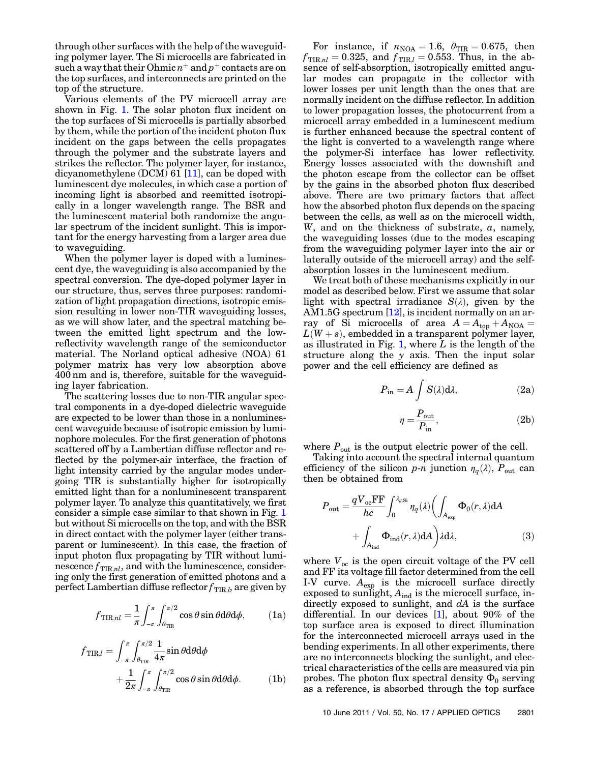through other surfaces with the help of the waveguiding polymer layer. The Si microcells are fabricated in such a way that their Ohmic  $n^+$  and  $p^+$  contacts are on the top surfaces, and interconnects are printed on the top of the structure.

Various elements of the PV microcell array are shown in Fig. 1. The solar photon flux incident on the top surfaces of Si microcells is partially absorbed by them, while the portion of the incident photon flux incident on the gaps between the cells propagates through the polymer and the substrate layers and strikes the reflector. The polymer layer, for instance, dicyanomethylene (DCM) 61 [11], can be doped with luminescent dye molecules, in which case a portion of incoming light is absorbed and reemitted isotropically in a longer wavelength range. The BSR and the luminescent material both randomize the angular spectrum of the incident sunlight. This is important for the energy harvesting from a larger area due to waveguiding.

When the polymer layer is doped with a luminescent dye, the waveguiding is also accompanied by the spectral conversion. The dye-doped polymer layer in our structure, thus, serves three purposes: randomization of light propagation directions, isotropic emission resulting in lower non-TIR waveguiding losses, as we will show later, and the spectral matching between the emitted light spectrum and the lowreflectivity wavelength range of the semiconductor material. The Norland optical adhesive (NOA) 61 polymer matrix has very low absorption above 400 nm and is, therefore, suitable for the waveguiding layer fabrication.

The scattering losses due to non-TIR angular spectral components in a dye-doped dielectric waveguide are expected to be lower than those in a nonluminescent waveguide because of isotropic emission by luminophore molecules. For the first generation of photons scattered off by a Lambertian diffuse reflector and reflected by the polymer-air interface, the fraction of light intensity carried by the angular modes undergoing TIR is substantially higher for isotropically emitted light than for a nonluminescent transparent polymer layer. To analyze this quantitatively, we first consider a simple case similar to that shown in Fig. 1 but without Si microcells on the top, and with the BSR in direct contact with the polymer layer (either transparent or luminescent). In this case, the fraction of input photon flux propagating by TIR without luminescence  $f_{\text{TIR},nl}$ , and with the luminescence, considering only the first generation of emitted photons and a perfect Lambertian diffuse reflector  $f_{\rm TIR,\it l}$ , are given by

$$
f_{\text{TIR},nl} = \frac{1}{\pi} \int_{-\pi}^{\pi} \int_{\theta_{\text{TIR}}}^{\pi/2} \cos \theta \sin \theta \, d\theta \, d\phi, \qquad (1a)
$$

$$
f_{\text{TIR},l} = \int_{-\pi}^{\pi} \int_{\theta_{\text{TIR}}}^{\pi/2} \frac{1}{4\pi} \sin \theta \, d\theta \, d\phi
$$

$$
+ \frac{1}{2\pi} \int_{-\pi}^{\pi} \int_{\theta_{\text{TIR}}}^{\pi/2} \cos \theta \sin \theta \, d\theta \, d\phi. \tag{1b}
$$

For instance, if  $n_{\text{NOA}} = 1.6$ ,  $\theta_{\text{TIR}} = 0.675$ , then  $f_{\text{TIR},nl} = 0.325$ , and  $f_{\text{TIR},l} = 0.553$ . Thus, in the absence of self-absorption, isotropically emitted angular modes can propagate in the collector with lower losses per unit length than the ones that are normally incident on the diffuse reflector. In addition to lower propagation losses, the photocurrent from a microcell array embedded in a luminescent medium is further enhanced because the spectral content of the light is converted to a wavelength range where the polymer-Si interface has lower reflectivity. Energy losses associated with the downshift and the photon escape from the collector can be offset by the gains in the absorbed photon flux described above. There are two primary factors that affect how the absorbed photon flux depends on the spacing between the cells, as well as on the microcell width, W, and on the thickness of substrate,  $a$ , namely, the waveguiding losses (due to the modes escaping from the waveguiding polymer layer into the air or laterally outside of the microcell array) and the selfabsorption losses in the luminescent medium.

We treat both of these mechanisms explicitly in our model as described below. First we assume that solar light with spectral irradiance  $S(\lambda)$ , given by the AM1.5G spectrum  $[12]$ , is incident normally on an array of Si microcells of area  $A = A_{top} + A_{NOA}$  $L(W + s)$ , embedded in a transparent polymer layer, as illustrated in Fig. 1, where  $L$  is the length of the structure along the y axis. Then the input solar power and the cell efficiency are defined as

$$
P_{\rm in} = A \int S(\lambda) d\lambda, \tag{2a}
$$

$$
\eta = \frac{P_{\rm out}}{P_{\rm in}},\tag{2b}
$$

where  $P_{\text{out}}$  is the output electric power of the cell.

Taking into account the spectral internal quantum efficiency of the silicon p-n junction  $\eta_q(\lambda)$ ,  $P_{\text{out}}$  can then be obtained from

$$
P_{\text{out}} = \frac{qV_{\text{oc}}\text{FF}}{hc} \int_0^{\lambda_{g,\text{Si}}} \eta_q(\lambda) \left( \int_{A_{\text{exp}}} \Phi_0(r,\lambda) dA \right) + \int_{A_{\text{ind}}} \Phi_{\text{ind}}(r,\lambda) dA \right)
$$
(3)

where  $V_{oc}$  is the open circuit voltage of the PV cell and FF its voltage fill factor determined from the cell I-V curve.  $A_{\text{exp}}$  is the microcell surface directly exposed to sunlight,  $A_{ind}$  is the microcell surface, indirectly exposed to sunlight, and  $dA$  is the surface differential. In our devices [1], about 90% of the top surface area is exposed to direct illumination for the interconnected microcell arrays used in the bending experiments. In all other experiments, there are no interconnects blocking the sunlight, and electrical characteristics of the cells are measured via pin probes. The photon flux spectral density  $\Phi_0$  serving as a reference, is absorbed through the top surface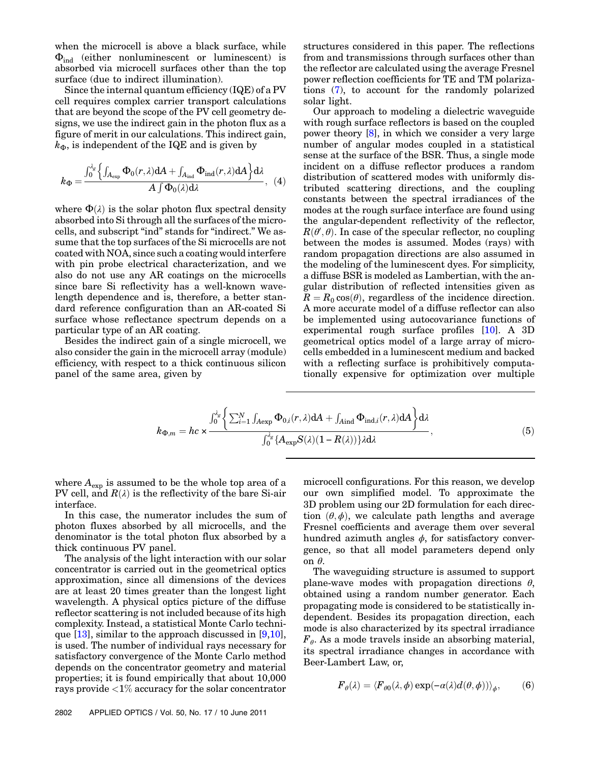when the microcell is above a black surface, while  $\Phi_{ind}$  (either nonluminescent or luminescent) is absorbed via microcell surfaces other than the top surface (due to indirect illumination).

Since the internal quantum efficiency (IQE) of a PV cell requires complex carrier transport calculations that are beyond the scope of the PV cell geometry designs, we use the indirect gain in the photon flux as a figure of merit in our calculations. This indirect gain,  $k_{\Phi}$ , is independent of the IQE and is given by

$$
k_{\Phi} = \frac{\int_0^{\lambda_g} \left\{ \int_{A_{\exp}} \Phi_0(r,\lambda) dA + \int_{A_{\text{ind}}} \Phi_{\text{ind}}(r,\lambda) dA \right\} d\lambda}{A \int \Phi_0(\lambda) d\lambda}, \tag{4}
$$

where  $\Phi(\lambda)$  is the solar photon flux spectral density absorbed into Si through all the surfaces of the microcells, and subscript "ind" stands for "indirect." We assume that the top surfaces of the Si microcells are not coated with NOA, since such a coating would interfere with pin probe electrical characterization, and we also do not use any AR coatings on the microcells since bare Si reflectivity has a well-known wavelength dependence and is, therefore, a better standard reference configuration than an AR-coated Si surface whose reflectance spectrum depends on a particular type of an AR coating.

Besides the indirect gain of a single microcell, we also consider the gain in the microcell array (module) efficiency, with respect to a thick continuous silicon panel of the same area, given by

structures considered in this paper. The reflections from and transmissions through surfaces other than the reflector are calculated using the average Fresnel power reflection coefficients for TE and TM polarizations (7), to account for the randomly polarized solar light.

Our approach to modeling a dielectric waveguide with rough surface reflectors is based on the coupled power theory [8], in which we consider a very large number of angular modes coupled in a statistical sense at the surface of the BSR. Thus, a single mode incident on a diffuse reflector produces a random distribution of scattered modes with uniformly distributed scattering directions, and the coupling constants between the spectral irradiances of the modes at the rough surface interface are found using the angular-dependent reflectivity of the reflector,  $R(\theta', \theta)$ . In case of the specular reflector, no coupling between the modes is assumed. Modes (rays) with between the modes is assumed. Modes (rays) with random propagation directions are also assumed in the modeling of the luminescent dyes. For simplicity, a diffuse BSR is modeled as Lambertian, with the angular distribution of reflected intensities given as  $R = R_0 \cos(\theta)$ , regardless of the incidence direction. A more accurate model of a diffuse reflector can also be implemented using autocovariance functions of experimental rough surface profiles [10]. A 3D geometrical optics model of a large array of microcells embedded in a luminescent medium and backed with a reflecting surface is prohibitively computationally expensive for optimization over multiple

$$
k_{\Phi,m} = hc \times \frac{\int_0^{\lambda_g} \left\{ \sum_{i=1}^N \int_{A \exp} \Phi_{0,i}(r,\lambda) dA + \int_{A \text{ind}} \Phi_{\text{ind},i}(r,\lambda) dA \right\} d\lambda}{\int_0^{\lambda_g} \left\{ A_{\exp} S(\lambda) (1 - R(\lambda)) \right\} \lambda d\lambda}, \tag{5}
$$

where  $A_{\text{exp}}$  is assumed to be the whole top area of a PV cell, and  $R(\lambda)$  is the reflectivity of the bare Si-air interface.

In this case, the numerator includes the sum of photon fluxes absorbed by all microcells, and the denominator is the total photon flux absorbed by a thick continuous PV panel.

The analysis of the light interaction with our solar concentrator is carried out in the geometrical optics approximation, since all dimensions of the devices are at least 20 times greater than the longest light wavelength. A physical optics picture of the diffuse reflector scattering is not included because of its high complexity. Instead, a statistical Monte Carlo technique  $[13]$ , similar to the approach discussed in  $[9,10]$ , is used. The number of individual rays necessary for satisfactory convergence of the Monte Carlo method depends on the concentrator geometry and material properties; it is found empirically that about 10,000 rays provide <1% accuracy for the solar concentrator microcell configurations. For this reason, we develop our own simplified model. To approximate the 3D problem using our 2D formulation for each direction  $(\theta, \phi)$ , we calculate path lengths and average Fresnel coefficients and average them over several hundred azimuth angles  $\phi$ , for satisfactory convergence, so that all model parameters depend only on θ.

The waveguiding structure is assumed to support plane-wave modes with propagation directions  $\theta$ , obtained using a random number generator. Each propagating mode is considered to be statistically independent. Besides its propagation direction, each mode is also characterized by its spectral irradiance  $F_{\theta}$ . As a mode travels inside an absorbing material, its spectral irradiance changes in accordance with Beer-Lambert Law, or,

$$
F_{\theta}(\lambda) = \langle F_{\theta 0}(\lambda, \phi) \exp(-\alpha(\lambda) d(\theta, \phi)) \rangle_{\phi}, \qquad (6)
$$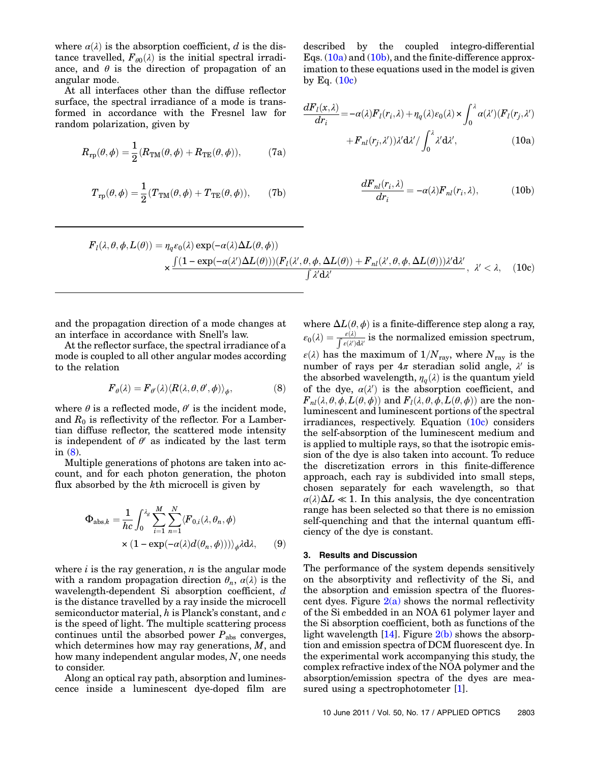where  $\alpha(\lambda)$  is the absorption coefficient, d is the distance travelled,  $F_{\theta0}(\lambda)$  is the initial spectral irradiance, and  $\theta$  is the direction of propagation of an angular mode.

At all interfaces other than the diffuse reflector surface, the spectral irradiance of a mode is transformed in accordance with the Fresnel law for random polarization, given by

$$
R_{\rm rp}(\theta,\phi) = \frac{1}{2}(R_{\rm TM}(\theta,\phi) + R_{\rm TE}(\theta,\phi)),\tag{7a}
$$

$$
T_{\text{rp}}(\theta,\phi)=\frac{1}{2}(T_{\text{TM}}(\theta,\phi)+T_{\text{TE}}(\theta,\phi)),\qquad \text{(7b)}
$$

described by the coupled integro-differential Eqs.  $(10a)$  and  $(10b)$ , and the finite-difference approximation to these equations used in the model is given by Eq.  $(10c)$ 

$$
\frac{dF_l(x,\lambda)}{dr_i} = -\alpha(\lambda)F_l(r_i,\lambda) + \eta_q(\lambda)\varepsilon_0(\lambda) \times \int_0^{\lambda} \alpha(\lambda') (F_l(r_j,\lambda')) + F_{nl}(r_j,\lambda'))\lambda' d\lambda'/\int_0^{\lambda} \lambda' d\lambda', \tag{10a}
$$

$$
\frac{dF_{nl}(r_i,\lambda)}{dr_i} = -\alpha(\lambda)F_{nl}(r_i,\lambda),\qquad(10b)
$$

$$
F_{l}(\lambda,\theta,\phi,L(\theta)) = \eta_{q}\varepsilon_{0}(\lambda) \exp(-\alpha(\lambda)\Delta L(\theta,\phi))
$$
  
\$\times \frac{\int (1 - \exp(-\alpha(\lambda')\Delta L(\theta)))(F\_{l}(\lambda',\theta,\phi,\Delta L(\theta)) + F\_{nl}(\lambda',\theta,\phi,\Delta L(\theta)))\lambda'd\lambda',\lambda' < \lambda\$, (10c)\$

and the propagation direction of a mode changes at an interface in accordance with Snell's law.

At the reflector surface, the spectral irradiance of a mode is coupled to all other angular modes according to the relation

$$
\boldsymbol{F}_{\theta}(\lambda) = \boldsymbol{F}_{\theta'}(\lambda) \langle \boldsymbol{R}(\lambda, \theta, \theta', \phi) \rangle_{\phi},\tag{8}
$$

where  $\theta$  is a reflected mode,  $\theta'$  is the incident mode, and  $R_0$  is reflectivity of the reflector. For a Lambertian diffuse reflector, the scattered mode intensity is independent of  $\theta'$  as indicated by the last term in (8).

Multiple generations of photons are taken into account, and for each photon generation, the photon flux absorbed by the kth microcell is given by

$$
\Phi_{\text{abs},k} = \frac{1}{hc} \int_0^{\lambda_g} \sum_{i=1}^M \sum_{n=1}^N \langle F_{0,i}(\lambda, \theta_n, \phi) \times (1 - \exp(-\alpha(\lambda)d(\theta_n, \phi))) \rangle_{\phi} \lambda d\lambda, \qquad (9)
$$

where  $i$  is the ray generation,  $n$  is the angular mode with a random propagation direction  $\theta_n$ ,  $\alpha(\lambda)$  is the wavelength-dependent Si absorption coefficient, d is the distance travelled by a ray inside the microcell semiconductor material, <sup>h</sup> is Planck's constant, and <sup>c</sup> is the speed of light. The multiple scattering process continues until the absorbed power  $P_{\text{abs}}$  converges, which determines how may ray generations,  $M$ , and how many independent angular modes, N, one needs to consider.

Along an optical ray path, absorption and luminescence inside a luminescent dye-doped film are where  $\Delta L(\theta, \phi)$  is a finite-difference step along a ray,  $\varepsilon_0(\lambda) = \frac{\varepsilon(\lambda)}{\int \varepsilon(\lambda') d\lambda'}$  is the normalized emission spectrum,  $\varepsilon(\lambda)$  has the maximum of  $1/N_{\text{ray}},$  where  $N_{\text{ray}}$  is the number of rays per  $4\pi$  steradian solid angle,  $\lambda'$  is the absorbed wavelength,  $\eta_{\sigma}(\lambda)$  is the quantum yield of the dye,  $\alpha(\lambda')$  is the absorption coefficient, and  $F_{\lambda}(\lambda \theta \phi L(\theta \phi))$  and  $F_{\lambda}(\lambda \theta \phi L(\theta \phi))$  are the non- $F_{nl}(\lambda, \theta, \phi, L(\theta, \phi))$  and  $F_l(\lambda, \theta, \phi, L(\theta, \phi))$  are the nonluminescent and luminescent portions of the spectral irradiances, respectively. Equation  $(10c)$  considers the self-absorption of the luminescent medium and is applied to multiple rays, so that the isotropic emission of the dye is also taken into account. To reduce the discretization errors in this finite-difference approach, each ray is subdivided into small steps, chosen separately for each wavelength, so that  $\alpha(\lambda)\Delta L \ll 1$ . In this analysis, the dye concentration range has been selected so that there is no emission self-quenching and that the internal quantum efficiency of the dye is constant.

# 3. Results and Discussion

The performance of the system depends sensitively on the absorptivity and reflectivity of the Si, and the absorption and emission spectra of the fluorescent dyes. Figure  $2(a)$  shows the normal reflectivity of the Si embedded in an NOA 61 polymer layer and the Si absorption coefficient, both as functions of the light wavelength  $[14]$ . Figure  $2(b)$  shows the absorption and emission spectra of DCM fluorescent dye. In the experimental work accompanying this study, the complex refractive index of the NOA polymer and the absorption/emission spectra of the dyes are measured using a spectrophotometer [1].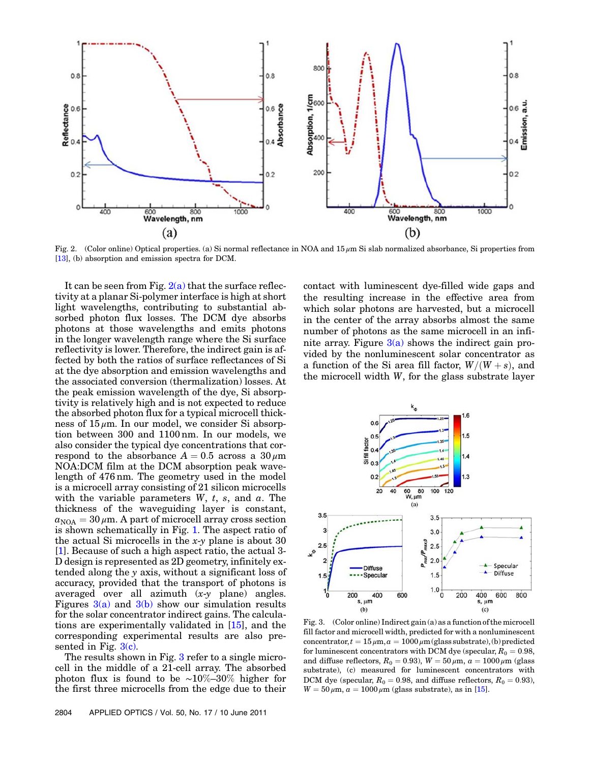

Fig. 2. (Color online) Optical properties. (a) Si normal reflectance in NOA and  $15 \mu m$  Si slab normalized absorbance, Si properties from [13], (b) absorption and emission spectra for DCM.

It can be seen from Fig.  $2(a)$  that the surface reflectivity at a planar Si-polymer interface is high at short light wavelengths, contributing to substantial absorbed photon flux losses. The DCM dye absorbs photons at those wavelengths and emits photons in the longer wavelength range where the Si surface reflectivity is lower. Therefore, the indirect gain is affected by both the ratios of surface reflectances of Si at the dye absorption and emission wavelengths and the associated conversion (thermalization) losses. At the peak emission wavelength of the dye, Si absorptivity is relatively high and is not expected to reduce the absorbed photon flux for a typical microcell thickness of  $15 \mu$ m. In our model, we consider Si absorption between 300 and 1100 nm. In our models, we also consider the typical dye concentrations that correspond to the absorbance  $A = 0.5$  across a  $30 \mu$ m NOA:DCM film at the DCM absorption peak wavelength of 476 nm. The geometry used in the model is a microcell array consisting of 21 silicon microcells with the variable parameters  $W$ ,  $t$ ,  $s$ , and  $a$ . The thickness of the waveguiding layer is constant,  $a_{\text{NOA}} = 30 \,\mu\text{m}$ . A part of microcell array cross section is shown schematically in Fig. 1. The aspect ratio of the actual Si microcells in the  $x-y$  plane is about 30 [1]. Because of such a high aspect ratio, the actual 3- D design is represented as 2D geometry, infinitely extended along the y axis, without a significant loss of accuracy, provided that the transport of photons is averaged over all azimuth (x-y plane) angles. Figures  $3(a)$  and  $3(b)$  show our simulation results for the solar concentrator indirect gains. The calculations are experimentally validated in [15], and the corresponding experimental results are also presented in Fig. 3(c).

The results shown in Fig. 3 refer to a single microcell in the middle of a 21-cell array. The absorbed photon flux is found to be <sup>∼</sup>10%–30% higher for the first three microcells from the edge due to their contact with luminescent dye-filled wide gaps and the resulting increase in the effective area from which solar photons are harvested, but a microcell in the center of the array absorbs almost the same number of photons as the same microcell in an infinite array. Figure  $3(a)$  shows the indirect gain provided by the nonluminescent solar concentrator as a function of the Si area fill factor,  $W/(W+s)$ , and the microcell width W, for the glass substrate layer



Fig. 3. (Color online) Indirect gain (a) as a function of the microcell fill factor and microcell width, predicted for with a nonluminescent concentrator,  $t = 15 \mu m$ ,  $a = 1000 \mu m$  (glass substrate), (b) predicted for luminescent concentrators with DCM dye (specular,  $R_0 = 0.98$ , and diffuse reflectors,  $R_0 = 0.93$ ),  $W = 50 \mu \text{m}$ ,  $a = 1000 \mu \text{m}$  (glass substrate), (c) measured for luminescent concentrators with DCM dye (specular,  $R_0 = 0.98$ , and diffuse reflectors,  $R_0 = 0.93$ ),  $W = 50 \,\mu \text{m}$ ,  $a = 1000 \,\mu \text{m}$  (glass substrate), as in [15].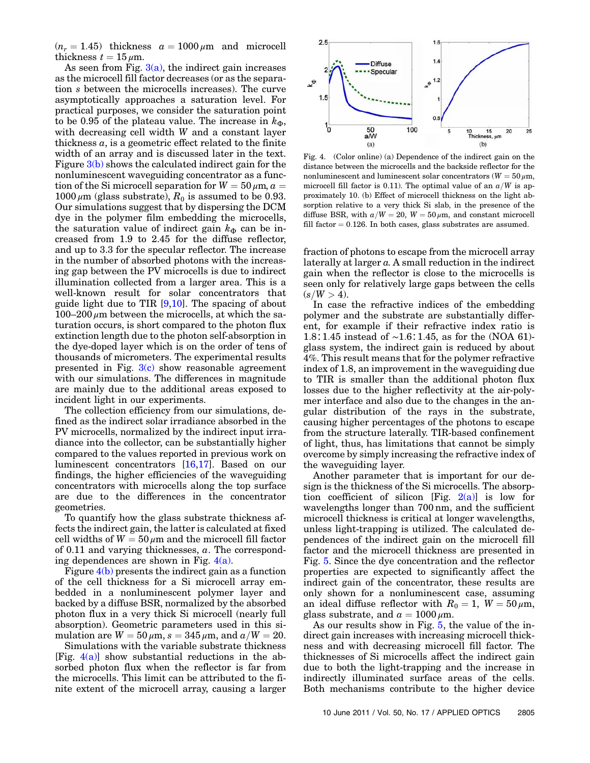$(n_r = 1.45)$  thickness  $a = 1000 \,\mu \text{m}$  and microcell thickness  $t = 15 \,\mu \mathrm{m}$ .

As seen from Fig.  $3(a)$ , the indirect gain increases as the microcell fill factor decreases (or as the separation s between the microcells increases). The curve asymptotically approaches a saturation level. For practical purposes, we consider the saturation point to be 0.95 of the plateau value. The increase in  $k_{\Phi}$ , with decreasing cell width W and a constant layer thickness  $a$ , is a geometric effect related to the finite width of an array and is discussed later in the text. Figure 3(b) shows the calculated indirect gain for the nonluminescent waveguiding concentrator as a function of the Si microcell separation for  $W = 50 \,\mu \text{m}$ ,  $a =$  $1000 \mu m$  (glass substrate),  $R_0$  is assumed to be 0.93. Our simulations suggest that by dispersing the DCM dye in the polymer film embedding the microcells, the saturation value of indirect gain  $k_{\Phi}$  can be increased from 1.9 to 2.45 for the diffuse reflector, and up to 3.3 for the specular reflector. The increase in the number of absorbed photons with the increasing gap between the PV microcells is due to indirect illumination collected from a larger area. This is a well-known result for solar concentrators that guide light due to TIR  $[9,10]$ . The spacing of about  $100-200 \mu m$  between the microcells, at which the saturation occurs, is short compared to the photon flux extinction length due to the photon self-absorption in the dye-doped layer which is on the order of tens of thousands of micrometers. The experimental results presented in Fig.  $3(c)$  show reasonable agreement with our simulations. The differences in magnitude are mainly due to the additional areas exposed to incident light in our experiments.

The collection efficiency from our simulations, defined as the indirect solar irradiance absorbed in the PV microcells, normalized by the indirect input irradiance into the collector, can be substantially higher compared to the values reported in previous work on luminescent concentrators [16,17]. Based on our findings, the higher efficiencies of the waveguiding concentrators with microcells along the top surface are due to the differences in the concentrator geometries.

To quantify how the glass substrate thickness affects the indirect gain, the latter is calculated at fixed cell widths of  $W = 50 \mu m$  and the microcell fill factor of  $0.11$  and varying thicknesses,  $a$ . The corresponding dependences are shown in Fig.  $4(a)$ .

Figure 4(b) presents the indirect gain as a function of the cell thickness for a Si microcell array embedded in a nonluminescent polymer layer and backed by a diffuse BSR, normalized by the absorbed photon flux in a very thick Si microcell (nearly full absorption). Geometric parameters used in this simulation are  $W = 50 \mu m$ ,  $s = 345 \mu m$ , and  $a/W = 20$ .

Simulations with the variable substrate thickness [Fig.  $4(a)$ ] show substantial reductions in the absorbed photon flux when the reflector is far from the microcells. This limit can be attributed to the finite extent of the microcell array, causing a larger



Fig. 4. (Color online) (a) Dependence of the indirect gain on the distance between the microcells and the backside reflector for the nonluminescent and luminescent solar concentrators ( $W = 50 \,\mu \text{m}$ , microcell fill factor is 0.11). The optimal value of an  $a/W$  is approximately 10. (b) Effect of microcell thickness on the light absorption relative to a very thick Si slab, in the presence of the diffuse BSR, with  $a/W = 20$ ,  $W = 50 \mu m$ , and constant microcell fill factor  $= 0.126$ . In both cases, glass substrates are assumed.

fraction of photons to escape from the microcell array laterally at larger a. A small reduction in the indirect gain when the reflector is close to the microcells is seen only for relatively large gaps between the cells  $(s/W > 4)$ .

In case the refractive indices of the embedding polymer and the substrate are substantially different, for example if their refractive index ratio is 1:8∶1:45 instead of ∼1:6∶1:45, as for the (NOA 61) glass system, the indirect gain is reduced by about 4%. This result means that for the polymer refractive index of 1.8, an improvement in the waveguiding due to TIR is smaller than the additional photon flux losses due to the higher reflectivity at the air-polymer interface and also due to the changes in the angular distribution of the rays in the substrate, causing higher percentages of the photons to escape from the structure laterally. TIR-based confinement of light, thus, has limitations that cannot be simply overcome by simply increasing the refractive index of the waveguiding layer.

Another parameter that is important for our design is the thickness of the Si microcells. The absorption coefficient of silicon [Fig.  $2(a)$ ] is low for wavelengths longer than 700 nm, and the sufficient microcell thickness is critical at longer wavelengths, unless light-trapping is utilized. The calculated dependences of the indirect gain on the microcell fill factor and the microcell thickness are presented in Fig. 5. Since the dye concentration and the reflector properties are expected to significantly affect the indirect gain of the concentrator, these results are only shown for a nonluminescent case, assuming an ideal diffuse reflector with  $R_0 = 1$ ,  $W = 50 \,\mu \text{m}$ , glass substrate, and  $a = 1000 \,\mu \text{m}$ .

As our results show in Fig. 5, the value of the indirect gain increases with increasing microcell thickness and with decreasing microcell fill factor. The thicknesses of Si microcells affect the indirect gain due to both the light-trapping and the increase in indirectly illuminated surface areas of the cells. Both mechanisms contribute to the higher device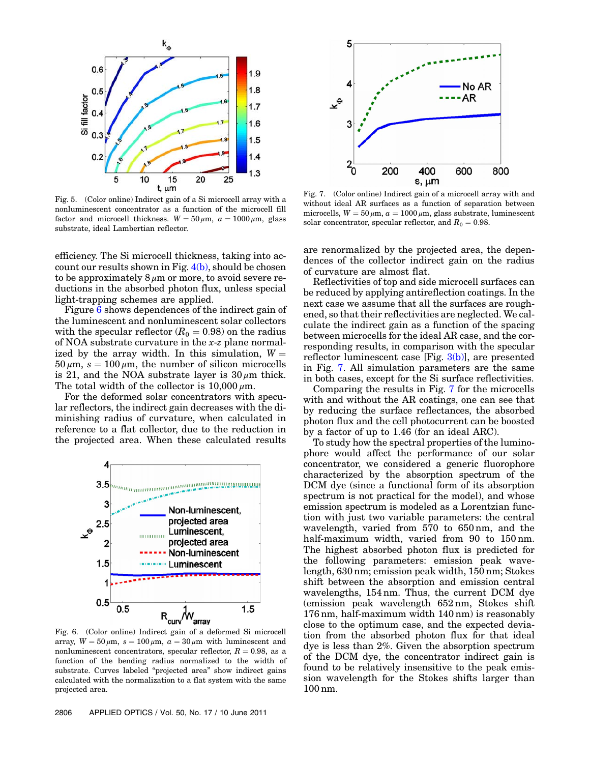

Fig. 5. (Color online) Indirect gain of a Si microcell array with a nonluminescent concentrator as a function of the microcell fill factor and microcell thickness.  $W = 50 \mu m$ ,  $a = 1000 \mu m$ , glass substrate, ideal Lambertian reflector.

efficiency. The Si microcell thickness, taking into account our results shown in Fig.  $4(b)$ , should be chosen to be approximately  $8 \mu m$  or more, to avoid severe reductions in the absorbed photon flux, unless special light-trapping schemes are applied.

Figure 6 shows dependences of the indirect gain of the luminescent and nonluminescent solar collectors with the specular reflector  $(R_0 = 0.98)$  on the radius of NOA substrate curvature in the x-z plane normalized by the array width. In this simulation,  $W =$  $50 \mu m$ ,  $s = 100 \mu m$ , the number of silicon microcells is 21, and the NOA substrate layer is  $30 \mu m$  thick. The total width of the collector is  $10,000 \mu m$ .

For the deformed solar concentrators with specular reflectors, the indirect gain decreases with the diminishing radius of curvature, when calculated in reference to a flat collector, due to the reduction in the projected area. When these calculated results



array,  $W = 50 \mu m$ ,  $s = 100 \mu m$ ,  $a = 30 \mu m$  with luminescent and nonluminescent concentrators, specular reflector,  $R = 0.98$ , as a function of the bending radius normalized to the width of substrate. Curves labeled "projected area" show indirect gains calculated with the normalization to a flat system with the same projected area.



Fig. 7. (Color online) Indirect gain of a microcell array with and without ideal AR surfaces as a function of separation between microcells,  $W = 50 \mu m$ ,  $a = 1000 \mu m$ , glass substrate, luminescent solar concentrator, specular reflector, and  $R_0 = 0.98$ .

are renormalized by the projected area, the dependences of the collector indirect gain on the radius of curvature are almost flat.

Reflectivities of top and side microcell surfaces can be reduced by applying antireflection coatings. In the next case we assume that all the surfaces are roughened, so that their reflectivities are neglected. We calculate the indirect gain as a function of the spacing between microcells for the ideal AR case, and the corresponding results, in comparison with the specular reflector luminescent case [Fig. 3(b)], are presented in Fig. 7. All simulation parameters are the same in both cases, except for the Si surface reflectivities.

Comparing the results in Fig. 7 for the microcells with and without the AR coatings, one can see that by reducing the surface reflectances, the absorbed photon flux and the cell photocurrent can be boosted by a factor of up to 1.46 (for an ideal ARC).

To study how the spectral properties of the luminophore would affect the performance of our solar concentrator, we considered a generic fluorophore characterized by the absorption spectrum of the DCM dye (since a functional form of its absorption spectrum is not practical for the model), and whose emission spectrum is modeled as a Lorentzian function with just two variable parameters: the central wavelength, varied from 570 to 650 nm, and the half-maximum width, varied from 90 to 150 nm. The highest absorbed photon flux is predicted for the following parameters: emission peak wavelength, 630 nm; emission peak width, 150 nm; Stokes shift between the absorption and emission central wavelengths, 154 nm. Thus, the current DCM dye (emission peak wavelength 652 nm, Stokes shift 176 nm, half-maximum width 140 nm) is reasonably close to the optimum case, and the expected deviation from the absorbed photon flux for that ideal dye is less than 2%. Given the absorption spectrum of the DCM dye, the concentrator indirect gain is found to be relatively insensitive to the peak emission wavelength for the Stokes shifts larger than 100 nm.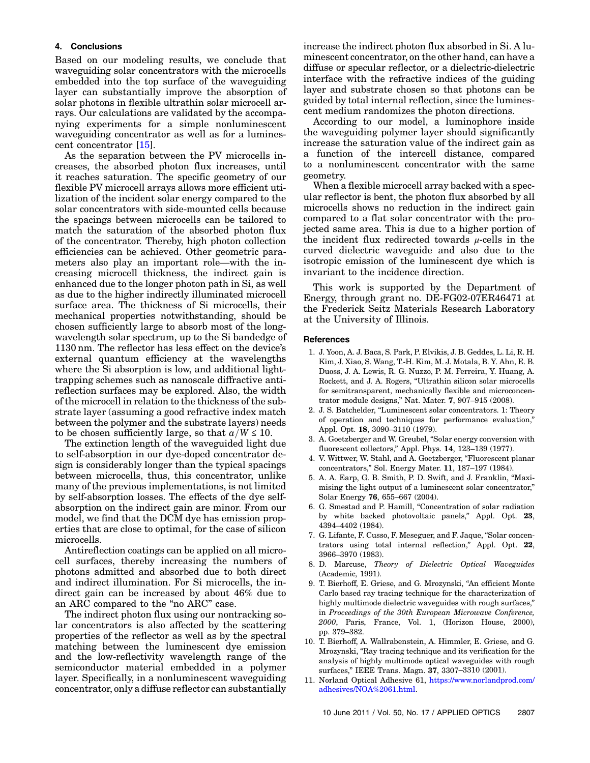# 4. Conclusions

Based on our modeling results, we conclude that waveguiding solar concentrators with the microcells embedded into the top surface of the waveguiding layer can substantially improve the absorption of solar photons in flexible ultrathin solar microcell arrays. Our calculations are validated by the accompanying experiments for a simple nonluminescent waveguiding concentrator as well as for a luminescent concentrator [15].

As the separation between the PV microcells increases, the absorbed photon flux increases, until it reaches saturation. The specific geometry of our flexible PV microcell arrays allows more efficient utilization of the incident solar energy compared to the solar concentrators with side-mounted cells because the spacings between microcells can be tailored to match the saturation of the absorbed photon flux of the concentrator. Thereby, high photon collection efficiencies can be achieved. Other geometric parameters also play an important role—with the increasing microcell thickness, the indirect gain is enhanced due to the longer photon path in Si, as well as due to the higher indirectly illuminated microcell surface area. The thickness of Si microcells, their mechanical properties notwithstanding, should be chosen sufficiently large to absorb most of the longwavelength solar spectrum, up to the Si bandedge of <sup>1130</sup> nm. The reflector has less effect on the device'<sup>s</sup> external quantum efficiency at the wavelengths where the Si absorption is low, and additional lighttrapping schemes such as nanoscale diffractive antireflection surfaces may be explored. Also, the width of the microcell in relation to the thickness of the substrate layer (assuming a good refractive index match between the polymer and the substrate layers) needs to be chosen sufficiently large, so that  $a/W \le 10$ .

The extinction length of the waveguided light due to self-absorption in our dye-doped concentrator design is considerably longer than the typical spacings between microcells, thus, this concentrator, unlike many of the previous implementations, is not limited by self-absorption losses. The effects of the dye selfabsorption on the indirect gain are minor. From our model, we find that the DCM dye has emission properties that are close to optimal, for the case of silicon microcells.

Antireflection coatings can be applied on all microcell surfaces, thereby increasing the numbers of photons admitted and absorbed due to both direct and indirect illumination. For Si microcells, the indirect gain can be increased by about 46% due to an ARC compared to the "no ARC" case.

The indirect photon flux using our nontracking solar concentrators is also affected by the scattering properties of the reflector as well as by the spectral matching between the luminescent dye emission and the low-reflectivity wavelength range of the semiconductor material embedded in a polymer layer. Specifically, in a nonluminescent waveguiding concentrator, only a diffuse reflector can substantially increase the indirect photon flux absorbed in Si. A luminescent concentrator, on the other hand, can have a diffuse or specular reflector, or a dielectric-dielectric interface with the refractive indices of the guiding layer and substrate chosen so that photons can be guided by total internal reflection, since the luminescent medium randomizes the photon directions.

According to our model, a luminophore inside the waveguiding polymer layer should significantly increase the saturation value of the indirect gain as a function of the intercell distance, compared to a nonluminescent concentrator with the same geometry.

When a flexible microcell array backed with a specular reflector is bent, the photon flux absorbed by all microcells shows no reduction in the indirect gain compared to a flat solar concentrator with the projected same area. This is due to a higher portion of the incident flux redirected towards  $\mu$ -cells in the curved dielectric waveguide and also due to the isotropic emission of the luminescent dye which is invariant to the incidence direction.

This work is supported by the Department of Energy, through grant no. DE-FG02-07ER46471 at the Frederick Seitz Materials Research Laboratory at the University of Illinois.

#### **References**

- 1. J. Yoon, A. J. Baca, S. Park, P. Elvikis, J. B. Geddes, L. Li, R. H. Kim, J. Xiao, S. Wang, T.-H. Kim, M. J. Motala, B. Y. Ahn, E. B. Duoss, J. A. Lewis, R. G. Nuzzo, P. M. Ferreira, Y. Huang, A. Rockett, and J. A. Rogers, "Ultrathin silicon solar microcells for semitransparent, mechanically flexible and microconcentrator module designs," Nat. Mater. <sup>7</sup>, 907–915 (2008).
- 2. J. S. Batchelder, "Luminescent solar concentrators. 1: Theory of operation and techniques for performance evaluation," Appl. Opt. <sup>18</sup>, 3090–3110 (1979).
- 3. A. Goetzberger and W. Greubel, "Solar energy conversion with fluorescent collectors," Appl. Phys. <sup>14</sup>, 123–139 (1977).
- 4. V. Wittwer, W. Stahl, and A. Goetzberger, "Fluorescent planar concentrators," Sol. Energy Mater. <sup>11</sup>, 187–197 (1984).
- 5. A. A. Earp, G. B. Smith, P. D. Swift, and J. Franklin, "Maximising the light output of a luminescent solar concentrator," Solar Energy <sup>76</sup>, 655–667 (2004).
- 6. G. Smestad and P. Hamill, "Concentration of solar radiation by white backed photovoltaic panels," Appl. Opt. <sup>23</sup>, <sup>4394</sup>–4402 (1984).
- 7. G. Lifante, F. Cusso, F. Meseguer, and F. Jaque, "Solar concentrators using total internal reflection," Appl. Opt. <sup>22</sup>, <sup>3966</sup>–3970 (1983).
- 8. D. Marcuse, Theory of Dielectric Optical Waveguides (Academic, 1991).
- 9. T. Bierhoff, E. Griese, and G. Mrozynski, "An efficient Monte Carlo based ray tracing technique for the characterization of highly multimode dielectric waveguides with rough surfaces," in Proceedings of the 30th European Microwave Conference, 2000, Paris, France, Vol. 1, (Horizon House, 2000), pp. 379–382.
- 10. T. Bierhoff, A. Wallrabenstein, A. Himmler, E. Griese, and G. Mrozynski, "Ray tracing technique and its verification for the analysis of highly multimode optical waveguides with rough surfaces," IEEE Trans. Magn. <sup>37</sup>, 3307–3310 (2001).
- 11. Norland Optical Adhesive 61, https://www.norlandprod.com/ adhesives/NOA%2061.html.